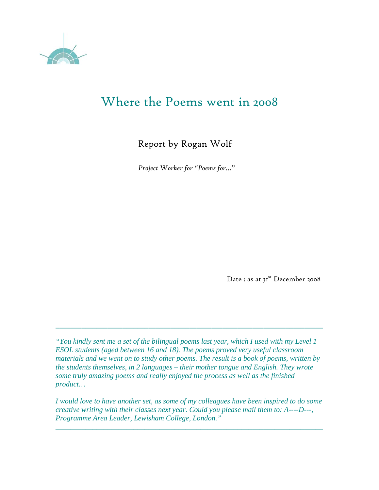

# Where the Poems went in 2008

## Report by Rogan Wolf

*Project Worker for "Poems for…"* 

Date : as at 3<sup>1st</sup> December 2008

*"You kindly sent me a set of the bilingual poems last year, which I used with my Level 1 ESOL students (aged between 16 and 18). The poems proved very useful classroom materials and we went on to study other poems. The result is a book of poems, written by the students themselves, in 2 languages – their mother tongue and English. They wrote some truly amazing poems and really enjoyed the process as well as the finished product…* 

**\_\_\_\_\_\_\_\_\_\_\_\_\_\_\_\_\_\_\_\_\_\_\_\_\_\_\_\_\_\_\_\_\_\_\_\_\_\_\_\_\_\_\_\_\_\_\_\_\_\_\_\_\_\_\_\_\_\_\_\_\_\_\_\_\_\_\_\_\_\_\_\_** 

*I would love to have another set, as some of my colleagues have been inspired to do some creative writing with their classes next year. Could you please mail them to: A----D---, Programme Area Leader, Lewisham College, London."* 

 *\_\_\_\_\_\_\_\_\_\_\_\_\_\_\_\_\_\_\_\_\_\_\_\_\_\_\_\_\_\_\_\_\_\_\_\_\_\_\_\_\_\_\_\_\_\_\_\_\_\_\_\_\_\_\_\_\_\_\_\_\_\_\_\_\_\_\_\_\_\_\_\_*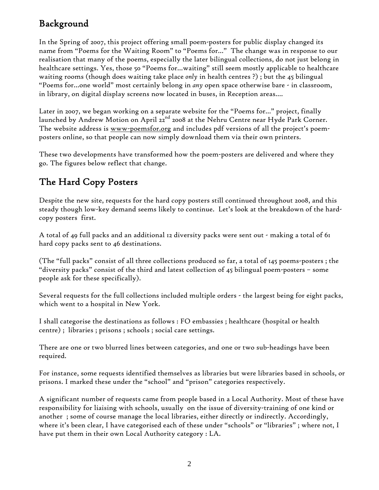## Background

In the Spring of 2007, this project offering small poem-posters for public display changed its name from "Poems for the Waiting Room" to "Poems for…" The change was in response to our realisation that many of the poems, especially the later bilingual collections, do not just belong in healthcare settings. Yes, those 50 "Poems for…waiting" still seem mostly applicable to healthcare waiting rooms (though does waiting take place *only* in health centres ?) ; but the 45 bilingual "Poems for…one world" most certainly belong in *any* open space otherwise bare - in classroom, in library, on digital display screens now located in buses, in Reception areas….

Later in 2007, we began working on a separate website for the "Poems for…" project, finally launched by Andrew Motion on April 22<sup>nd</sup> 2008 at the Nehru Centre near Hyde Park Corner. The website address is www-poemsfor.org and includes pdf versions of all the project's poemposters online, so that people can now simply download them via their own printers.

These two developments have transformed how the poem-posters are delivered and where they go. The figures below reflect that change.

## The Hard Copy Posters

Despite the new site, requests for the hard copy posters still continued throughout 2008, and this steady though low-key demand seems likely to continue. Let's look at the breakdown of the hardcopy posters first.

A total of 49 full packs and an additional 12 diversity packs were sent out - making a total of 61 hard copy packs sent to 46 destinations.

(The "full packs" consist of all three collections produced so far, a total of 145 poems-posters ; the "diversity packs" consist of the third and latest collection of 45 bilingual poem-posters – some people ask for these specifically).

Several requests for the full collections included multiple orders - the largest being for eight packs, which went to a hospital in New York.

I shall categorise the destinations as follows : FO embassies ; healthcare (hospital or health centre) ; libraries ; prisons ; schools ; social care settings.

There are one or two blurred lines between categories, and one or two sub-headings have been required.

For instance, some requests identified themselves as libraries but were libraries based in schools, or prisons. I marked these under the "school" and "prison" categories respectively.

A significant number of requests came from people based in a Local Authority. Most of these have responsibility for liaising with schools, usually on the issue of diversity-training of one kind or another ; some of course manage the local libraries, either directly or indirectly. Accordingly, where it's been clear, I have categorised each of these under "schools" or "libraries" ; where not, I have put them in their own Local Authority category : LA.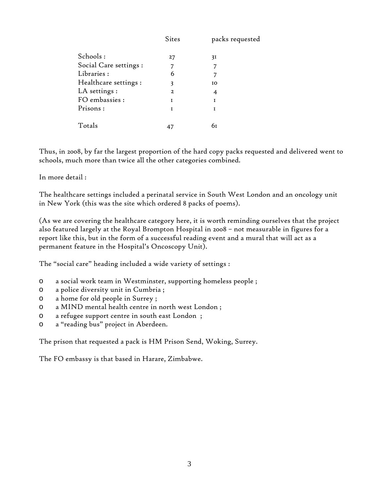|                        | <b>Sites</b>   | packs requested |
|------------------------|----------------|-----------------|
| Schools:               | 27             | 31              |
| Social Care settings : | 7              |                 |
| Libraries:             | 6              |                 |
| Healthcare settings:   | 3              | <b>IO</b>       |
| LA settings :          | $\overline{z}$ | 4               |
| FO embassies :         | I              |                 |
| Prisons:               | I              | I               |
| Totals                 | 47             | 61              |

Thus, in 2008, by far the largest proportion of the hard copy packs requested and delivered went to schools, much more than twice all the other categories combined.

In more detail :

The healthcare settings included a perinatal service in South West London and an oncology unit in New York (this was the site which ordered 8 packs of poems).

(As we are covering the healthcare category here, it is worth reminding ourselves that the project also featured largely at the Royal Brompton Hospital in 2008 – not measurable in figures for a report like this, but in the form of a successful reading event and a mural that will act as a permanent feature in the Hospital's Oncoscopy Unit).

The "social care" heading included a wide variety of settings :

- o a social work team in Westminster, supporting homeless people ;
- o a police diversity unit in Cumbria ;
- o a home for old people in Surrey ;
- o a MIND mental health centre in north west London ;
- o a refugee support centre in south east London ;
- o a "reading bus" project in Aberdeen.

The prison that requested a pack is HM Prison Send, Woking, Surrey.

The FO embassy is that based in Harare, Zimbabwe.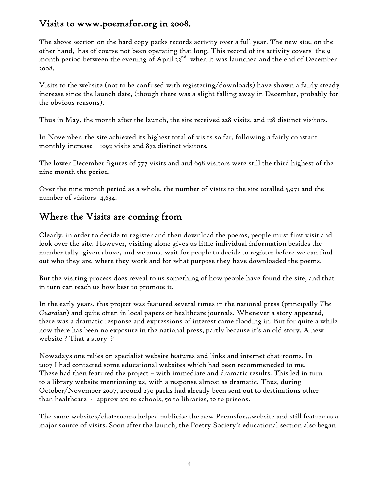## Visits to www.poemsfor.org in 2008.

The above section on the hard copy packs records activity over a full year. The new site, on the other hand, has of course not been operating that long. This record of its activity covers the 9 month period between the evening of April  $z_2^{nd}$  when it was launched and the end of December 2008.

Visits to the website (not to be confused with registering/downloads) have shown a fairly steady increase since the launch date, (though there was a slight falling away in December, probably for the obvious reasons).

Thus in May, the month after the launch, the site received 228 visits, and 128 distinct visitors.

In November, the site achieved its highest total of visits so far, following a fairly constant monthly increase – 1092 visits and 872 distinct visitors.

The lower December figures of 777 visits and and 698 visitors were still the third highest of the nine month the period.

Over the nine month period as a whole, the number of visits to the site totalled 5,971 and the number of visitors 4,634.

## Where the Visits are coming from

Clearly, in order to decide to register and then download the poems, people must first visit and look over the site. However, visiting alone gives us little individual information besides the number tally given above, and we must wait for people to decide to register before we can find out who they are, where they work and for what purpose they have downloaded the poems.

But the visiting process does reveal to us something of how people have found the site, and that in turn can teach us how best to promote it.

In the early years, this project was featured several times in the national press (principally *The Guardian*) and quite often in local papers or healthcare journals. Whenever a story appeared, there was a dramatic response and expressions of interest came flooding in. But for quite a while now there has been no exposure in the national press, partly because it's an old story. A new website ? That a story ?

Nowadays one relies on specialist website features and links and internet chat-rooms. In 2007 I had contacted some educational websites which had been recommeneded to me. These had then featured the project – with immediate and dramatic results. This led in turn to a library website mentioning us, with a response almost as dramatic. Thus, during October/November 2007, around 270 packs had already been sent out to destinations other than healthcare - approx 210 to schools, 50 to libraries, 10 to prisons.

The same websites/chat-rooms helped publicise the new Poemsfor…website and still feature as a major source of visits. Soon after the launch, the Poetry Society's educational section also began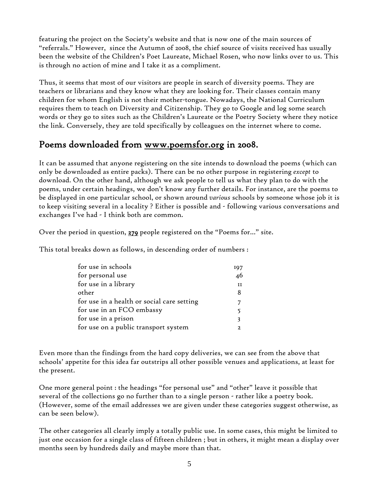featuring the project on the Society's website and that is now one of the main sources of "referrals." However, since the Autumn of 2008, the chief source of visits received has usually been the website of the Children's Poet Laureate, Michael Rosen, who now links over to us. This is through no action of mine and I take it as a compliment.

Thus, it seems that most of our visitors are people in search of diversity poems. They are teachers or librarians and they know what they are looking for. Their classes contain many children for whom English is not their mother-tongue. Nowadays, the National Curriculum requires them to teach on Diversity and Citizenship. They go to Google and log some search words or they go to sites such as the Children's Laureate or the Poetry Society where they notice the link. Conversely, they are told specifically by colleagues on the internet where to come.

### Poems downloaded from www.poemsfor.org in 2008.

It can be assumed that anyone registering on the site intends to download the poems (which can only be downloaded as entire packs). There can be no other purpose in registering *except* to download. On the other hand, although we ask people to tell us what they plan to do with the poems, under certain headings, we don't know any further details. For instance, are the poems to be displayed in one particular school, or shown around *various* schools by someone whose job it is to keep visiting several in a locality ? Either is possible and - following various conversations and exchanges I've had - I think both are common.

Over the period in question, 279 people registered on the "Poems for…" site.

This total breaks down as follows, in descending order of numbers :

| for use in schools                         | 197 |
|--------------------------------------------|-----|
| for personal use                           | 46  |
| for use in a library                       | 11  |
| other                                      |     |
| for use in a health or social care setting |     |
| for use in an FCO embassy                  |     |
| for use in a prison                        |     |
| for use on a public transport system       |     |

Even more than the findings from the hard copy deliveries, we can see from the above that schools' appetite for this idea far outstrips all other possible venues and applications, at least for the present.

One more general point : the headings "for personal use" and "other" leave it possible that several of the collections go no further than to a single person - rather like a poetry book. (However, some of the email addresses we are given under these categories suggest otherwise, as can be seen below).

The other categories all clearly imply a totally public use. In some cases, this might be limited to just one occasion for a single class of fifteen children ; but in others, it might mean a display over months seen by hundreds daily and maybe more than that.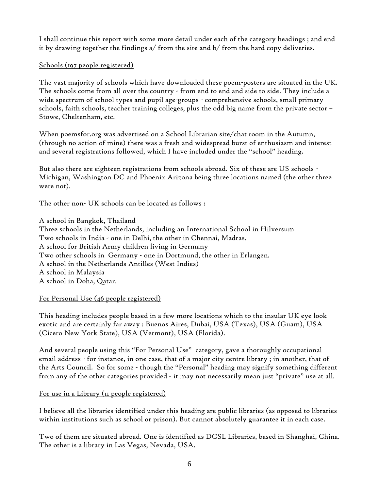I shall continue this report with some more detail under each of the category headings ; and end it by drawing together the findings  $a/$  from the site and  $b/$  from the hard copy deliveries.

#### Schools (197 people registered)

The vast majority of schools which have downloaded these poem-posters are situated in the UK. The schools come from all over the country - from end to end and side to side. They include a wide spectrum of school types and pupil age-groups - comprehensive schools, small primary schools, faith schools, teacher training colleges, plus the odd big name from the private sector – Stowe, Cheltenham, etc.

When poemsfor.org was advertised on a School Librarian site/chat room in the Autumn, (through no action of mine) there was a fresh and widespread burst of enthusiasm and interest and several registrations followed, which I have included under the "school" heading.

But also there are eighteen registrations from schools abroad. Six of these are US schools - Michigan, Washington DC and Phoenix Arizona being three locations named (the other three were not).

The other non- UK schools can be located as follows :

A school in Bangkok, Thailand Three schools in the Netherlands, including an International School in Hilversum Two schools in India - one in Delhi, the other in Chennai, Madras. A school for British Army children living in Germany Two other schools in Germany - one in Dortmund, the other in Erlangen. A school in the Netherlands Antilles (West Indies) A school in Malaysia A school in Doha, Qatar.

#### For Personal Use (46 people registered)

This heading includes people based in a few more locations which to the insular UK eye look exotic and are certainly far away : Buenos Aires, Dubai, USA (Texas), USA (Guam), USA (Cicero New York State), USA (Vermont), USA (Florida).

And several people using this "For Personal Use" category, gave a thoroughly occupational email address - for instance, in one case, that of a major city centre library ; in another, that of the Arts Council. So for some - though the "Personal" heading may signify something different from any of the other categories provided - it may not necessarily mean just "private" use at all.

#### For use in a Library (11 people registered)

I believe all the libraries identified under this heading are public libraries (as opposed to libraries within institutions such as school or prison). But cannot absolutely guarantee it in each case.

Two of them are situated abroad. One is identified as DCSL Libraries, based in Shanghai, China. The other is a library in Las Vegas, Nevada, USA.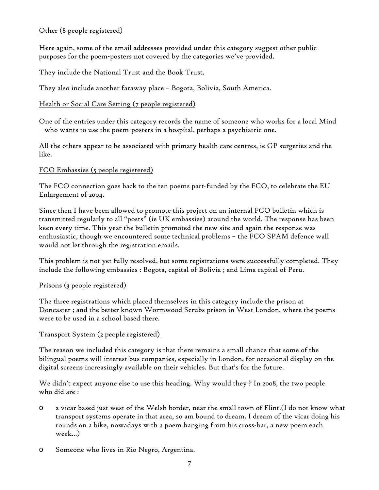#### Other (8 people registered)

Here again, some of the email addresses provided under this category suggest other public purposes for the poem-posters not covered by the categories we've provided.

They include the National Trust and the Book Trust.

They also include another faraway place – Bogota, Bolivia, South America.

#### Health or Social Care Setting (7 people registered)

One of the entries under this category records the name of someone who works for a local Mind – who wants to use the poem-posters in a hospital, perhaps a psychiatric one.

All the others appear to be associated with primary health care centres, ie GP surgeries and the like.

#### FCO Embassies (5 people registered)

The FCO connection goes back to the ten poems part-funded by the FCO, to celebrate the EU Enlargement of 2004.

Since then I have been allowed to promote this project on an internal FCO bulletin which is transmitted regularly to all "posts" (ie UK embassies) around the world. The response has been keen every time. This year the bulletin promoted the new site and again the response was enthusiastic, though we encountered some technical problems – the FCO SPAM defence wall would not let through the registration emails.

This problem is not yet fully resolved, but some registrations were successfully completed. They include the following embassies : Bogota, capital of Bolivia ; and Lima capital of Peru.

#### Prisons (3 people registered)

The three registrations which placed themselves in this category include the prison at Doncaster ; and the better known Wormwood Scrubs prison in West London, where the poems were to be used in a school based there.

#### Transport System (2 people registered)

The reason we included this category is that there remains a small chance that some of the bilingual poems will interest bus companies, especially in London, for occasional display on the digital screens increasingly available on their vehicles. But that's for the future.

We didn't expect anyone else to use this heading. Why would they ? In 2008, the two people who did are :

- o a vicar based just west of the Welsh border, near the small town of Flint.(I do not know what transport systems operate in that area, so am bound to dream. I dream of the vicar doing his rounds on a bike, nowadays with a poem hanging from his cross-bar, a new poem each week...)
- o Someone who lives in Rio Negro, Argentina.